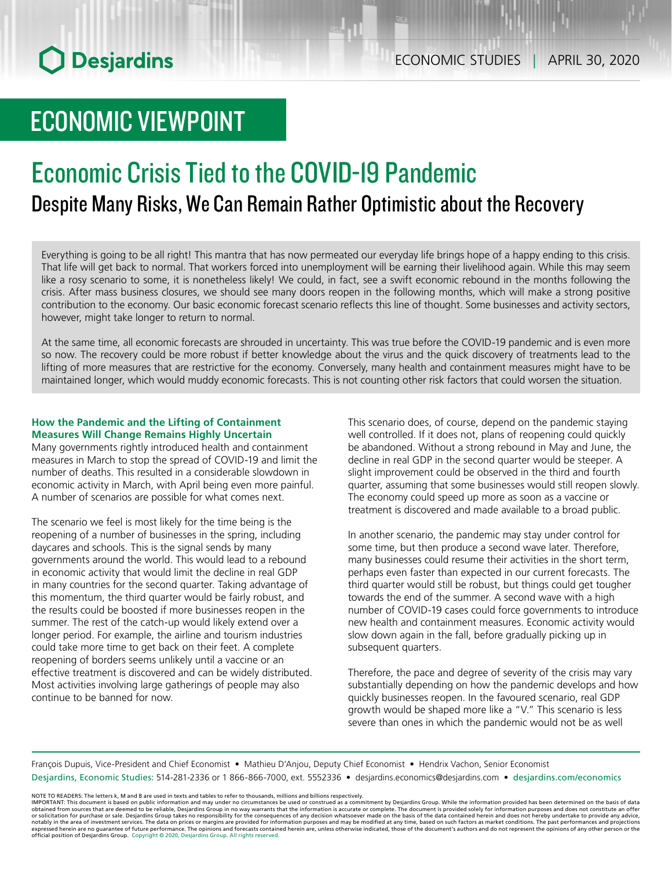# ECONOMIC VIEWPOINT

## Economic Crisis Tied to the COVID‑19 Pandemic Despite Many Risks, We Can Remain Rather Optimistic about the Recovery

Everything is going to be all right! This mantra that has now permeated our everyday life brings hope of a happy ending to this crisis. That life will get back to normal. That workers forced into unemployment will be earning their livelihood again. While this may seem like a rosy scenario to some, it is nonetheless likely! We could, in fact, see a swift economic rebound in the months following the crisis. After mass business closures, we should see many doors reopen in the following months, which will make a strong positive contribution to the economy. Our basic economic forecast scenario reflects this line of thought. Some businesses and activity sectors, however, might take longer to return to normal.

At the same time, all economic forecasts are shrouded in uncertainty. This was true before the COVID-19 pandemic and is even more so now. The recovery could be more robust if better knowledge about the virus and the quick discovery of treatments lead to the lifting of more measures that are restrictive for the economy. Conversely, many health and containment measures might have to be maintained longer, which would muddy economic forecasts. This is not counting other risk factors that could worsen the situation.

## **How the Pandemic and the Lifting of Containment Measures Will Change Remains Highly Uncertain**

Many governments rightly introduced health and containment measures in March to stop the spread of COVID-19 and limit the number of deaths. This resulted in a considerable slowdown in economic activity in March, with April being even more painful. A number of scenarios are possible for what comes next.

The scenario we feel is most likely for the time being is the reopening of a number of businesses in the spring, including daycares and schools. This is the signal sends by many governments around the world. This would lead to a rebound in economic activity that would limit the decline in real GDP in many countries for the second quarter. Taking advantage of this momentum, the third quarter would be fairly robust, and the results could be boosted if more businesses reopen in the summer. The rest of the catch-up would likely extend over a longer period. For example, the airline and tourism industries could take more time to get back on their feet. A complete reopening of borders seems unlikely until a vaccine or an effective treatment is discovered and can be widely distributed. Most activities involving large gatherings of people may also continue to be banned for now.

This scenario does, of course, depend on the pandemic staying well controlled. If it does not, plans of reopening could quickly be abandoned. Without a strong rebound in May and June, the decline in real GDP in the second quarter would be steeper. A slight improvement could be observed in the third and fourth quarter, assuming that some businesses would still reopen slowly. The economy could speed up more as soon as a vaccine or treatment is discovered and made available to a broad public.

In another scenario, the pandemic may stay under control for some time, but then produce a second wave later. Therefore, many businesses could resume their activities in the short term, perhaps even faster than expected in our current forecasts. The third quarter would still be robust, but things could get tougher towards the end of the summer. A second wave with a high number of COVID-19 cases could force governments to introduce new health and containment measures. Economic activity would slow down again in the fall, before gradually picking up in subsequent quarters.

Therefore, the pace and degree of severity of the crisis may vary substantially depending on how the pandemic develops and how quickly businesses reopen. In the favoured scenario, real GDP growth would be shaped more like a "V." This scenario is less severe than ones in which the pandemic would not be as well

François Dupuis, Vice-President and Chief Economist • Mathieu D'Anjou, Deputy Chief Economist • Hendrix Vachon, Senior Economist Desjardins, Economic Studies: 514-281-2336 or 1 866-866-7000, ext. 5552336 • desjardins.economics@desjardins.com • [desjardins.com/economics](http://desjardins.com/economics)

NOTE TO READERS: The letters k, M and B are used in texts and tables to refer to thousands, millions and billions respectively.<br>IMPORTANT: This document is based on public information and may under no circumstances be used obtained from sources that are deemed to be reliable, Desjardins Group in no way warrants that the information is accurate or complete. The document is provided solely for information purposes and does not constitute an of official position of Desjardins Group. Copyright © 2020, Desjardins Group. All rights reserved.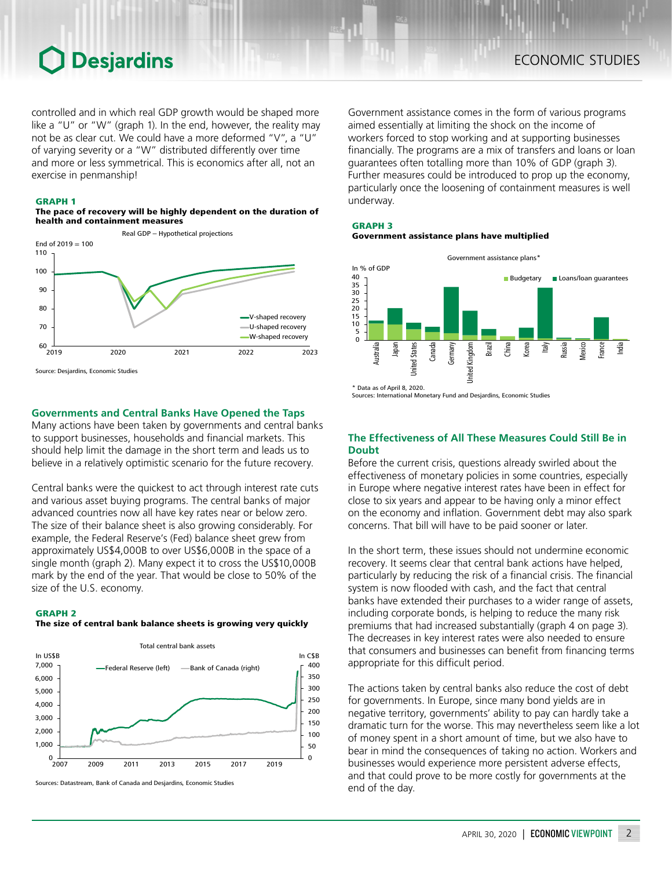## **O** Desjardins

controlled and in which real GDP growth would be shaped more like a "U" or "W" (graph 1). In the end, however, the reality may not be as clear cut. We could have a more deformed "V", a "U" of varying severity or a "W" distributed differently over time and more or less symmetrical. This is economics after all, not an exercise in penmanship!

#### GRAPH 1

The pace of recovery will be highly dependent on the duration of health and containment measures



Source: Desjardins, Economic Studies

### **Governments and Central Banks Have Opened the Taps**

Many actions have been taken by governments and central banks to support businesses, households and financial markets. This should help limit the damage in the short term and leads us to believe in a relatively optimistic scenario for the future recovery.

Central banks were the quickest to act through interest rate cuts and various asset buying programs. The central banks of major advanced countries now all have key rates near or below zero. The size of their balance sheet is also growing considerably. For example, the Federal Reserve's (Fed) balance sheet grew from approximately US\$4,000B to over US\$6,000B in the space of a single month (graph 2). Many expect it to cross the US\$10,000B mark by the end of the year. That would be close to 50% of the size of the U.S. economy.

#### GRAPH 2

#### The size of central bank balance sheets is growing very quickly



Sources: Datastream, Bank of Canada and Desjardins, Economic Studies

Government assistance comes in the form of various programs aimed essentially at limiting the shock on the income of workers forced to stop working and at supporting businesses financially. The programs are a mix of transfers and loans or loan guarantees often totalling more than 10% of GDP (graph 3). Further measures could be introduced to prop up the economy, particularly once the loosening of containment measures is well underway.

## GRAPH 3 Government assistance plans have multiplied



Sources: International Monetary Fund and Desjardins, Economic Studies

## **The Effectiveness of All These Measures Could Still Be in Doubt**

Before the current crisis, questions already swirled about the effectiveness of monetary policies in some countries, especially in Europe where negative interest rates have been in effect for close to six years and appear to be having only a minor effect on the economy and inflation. Government debt may also spark concerns. That bill will have to be paid sooner or later.

In the short term, these issues should not undermine economic recovery. It seems clear that central bank actions have helped, particularly by reducing the risk of a financial crisis. The financial system is now flooded with cash, and the fact that central banks have extended their purchases to a wider range of assets, including corporate bonds, is helping to reduce the many risk premiums that had increased substantially (graph 4 on page 3). The decreases in key interest rates were also needed to ensure that consumers and businesses can benefit from financing terms appropriate for this difficult period.

The actions taken by central banks also reduce the cost of debt for governments. In Europe, since many bond yields are in negative territory, governments' ability to pay can hardly take a dramatic turn for the worse. This may nevertheless seem like a lot of money spent in a short amount of time, but we also have to bear in mind the consequences of taking no action. Workers and businesses would experience more persistent adverse effects, and that could prove to be more costly for governments at the end of the day.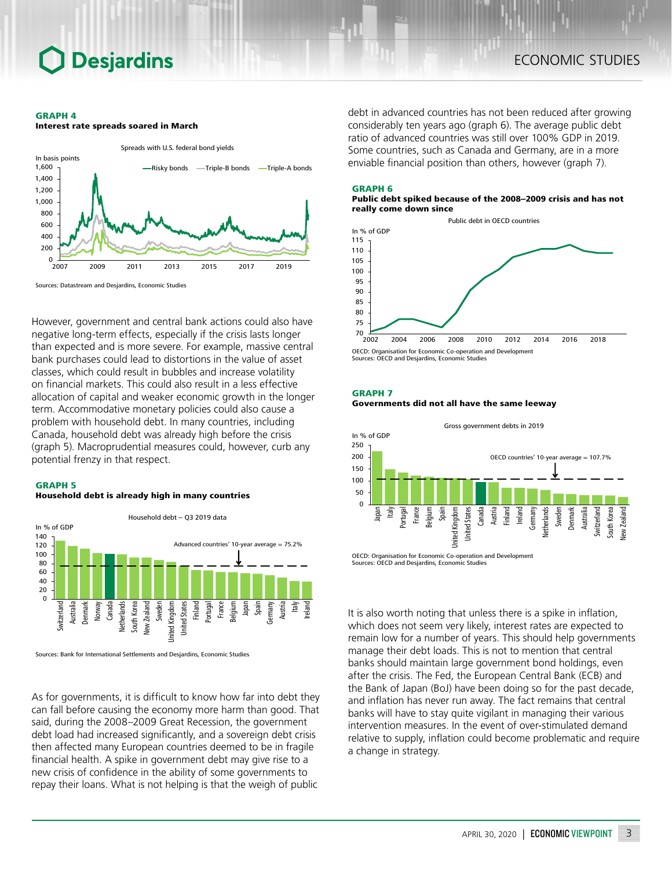## **Desjardins**

#### GRAPH 4

Interest rate spreads soared in March



Sources: Datastream and Desjardins, Economic Studies

However, government and central bank actions could also have negative long-term effects, especially if the crisis lasts longer than expected and is more severe. For example, massive central bank purchases could lead to distortions in the value of asset classes, which could result in bubbles and increase volatility on financial markets. This could also result in a less effective allocation of capital and weaker economic growth in the longer term. Accommodative monetary policies could also cause a problem with household debt. In many countries, including Canada, household debt was already high before the crisis (graph 5). Macroprudential measures could, however, curb any potential frenzy in that respect.

#### GRAPH 5

### Household debt is already high in many countries



Sources: Bank for International Settlements and Desjardins, Economic Studies

As for governments, it is difficult to know how far into debt they can fall before causing the economy more harm than good. That said, during the 2008–2009 Great Recession, the government debt load had increased significantly, and a sovereign debt crisis then affected many European countries deemed to be in fragile financial health. A spike in government debt may give rise to a new crisis of confidence in the ability of some governments to repay their loans. What is not helping is that the weigh of public

debt in advanced countries has not been reduced after growing considerably ten years ago (graph 6). The average public debt ratio of advanced countries was still over 100% GDP in 2019. Some countries, such as Canada and Germany, are in a more enviable financial position than others, however (graph 7).

#### GRAPH 6

#### Public debt spiked because of the 2008–2009 crisis and has not really come down since



Sources: OECD and Desjardins, Economic Studies

#### GRAPH 7

Governments did not all have the same leeway



It is also worth noting that unless there is a spike in inflation, which does not seem very likely, interest rates are expected to remain low for a number of years. This should help governments manage their debt loads. This is not to mention that central banks should maintain large government bond holdings, even after the crisis. The Fed, the European Central Bank (ECB) and the Bank of Japan (BoJ) have been doing so for the past decade, and inflation has never run away. The fact remains that central banks will have to stay quite vigilant in managing their various intervention measures. In the event of over-stimulated demand relative to supply, inflation could become problematic and require a change in strategy.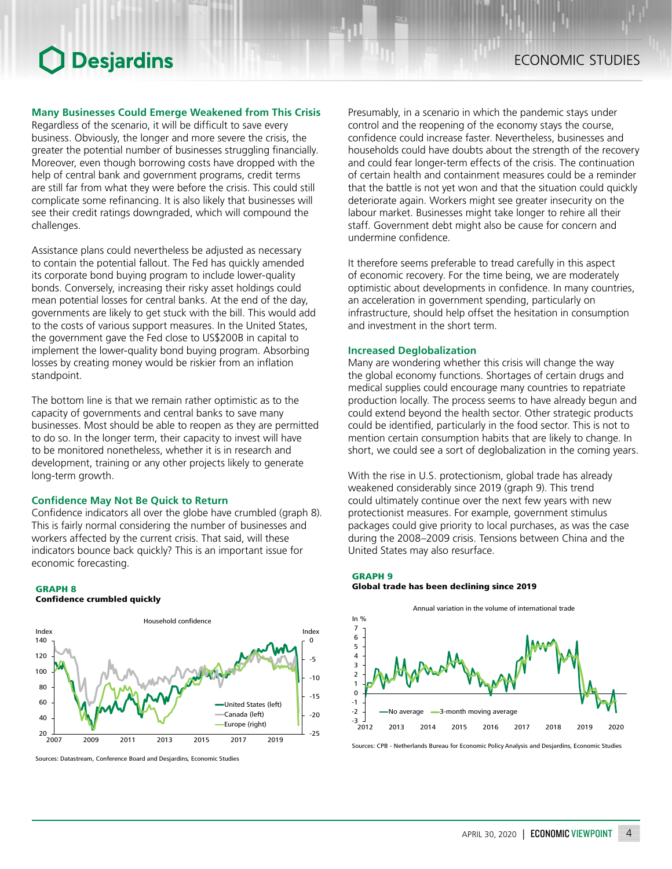## **Desjardins**

## **Many Businesses Could Emerge Weakened from This Crisis**

Regardless of the scenario, it will be difficult to save every business. Obviously, the longer and more severe the crisis, the greater the potential number of businesses struggling financially. Moreover, even though borrowing costs have dropped with the help of central bank and government programs, credit terms are still far from what they were before the crisis. This could still complicate some refinancing. It is also likely that businesses will see their credit ratings downgraded, which will compound the challenges.

Assistance plans could nevertheless be adjusted as necessary to contain the potential fallout. The Fed has quickly amended its corporate bond buying program to include lower-quality bonds. Conversely, increasing their risky asset holdings could mean potential losses for central banks. At the end of the day, governments are likely to get stuck with the bill. This would add to the costs of various support measures. In the United States, the government gave the Fed close to US\$200B in capital to implement the lower-quality bond buying program. Absorbing losses by creating money would be riskier from an inflation standpoint.

The bottom line is that we remain rather optimistic as to the capacity of governments and central banks to save many businesses. Most should be able to reopen as they are permitted to do so. In the longer term, their capacity to invest will have to be monitored nonetheless, whether it is in research and development, training or any other projects likely to generate long-term growth.

### **Confidence May Not Be Quick to Return**

Confidence indicators all over the globe have crumbled (graph 8). This is fairly normal considering the number of businesses and workers affected by the current crisis. That said, will these indicators bounce back quickly? This is an important issue for economic forecasting.

#### GRAPH 8 Confidence crumbled quickly



Sources: Datastream, Conference Board and Desjardins, Economic Studies

Presumably, in a scenario in which the pandemic stays under control and the reopening of the economy stays the course, confidence could increase faster. Nevertheless, businesses and households could have doubts about the strength of the recovery and could fear longer-term effects of the crisis. The continuation of certain health and containment measures could be a reminder that the battle is not yet won and that the situation could quickly deteriorate again. Workers might see greater insecurity on the labour market. Businesses might take longer to rehire all their staff. Government debt might also be cause for concern and undermine confidence.

It therefore seems preferable to tread carefully in this aspect of economic recovery. For the time being, we are moderately optimistic about developments in confidence. In many countries, an acceleration in government spending, particularly on infrastructure, should help offset the hesitation in consumption and investment in the short term.

### **Increased Deglobalization**

Many are wondering whether this crisis will change the way the global economy functions. Shortages of certain drugs and medical supplies could encourage many countries to repatriate production locally. The process seems to have already begun and could extend beyond the health sector. Other strategic products could be identified, particularly in the food sector. This is not to mention certain consumption habits that are likely to change. In short, we could see a sort of deglobalization in the coming years.

With the rise in U.S. protectionism, global trade has already weakened considerably since 2019 (graph 9). This trend could ultimately continue over the next few years with new protectionist measures. For example, government stimulus packages could give priority to local purchases, as was the case during the 2008–2009 crisis. Tensions between China and the United States may also resurface.

### GRAPH 9 Global trade has been declining since 2019



Sources: CPB - Netherlands Bureau for Economic Policy Analysis and Desjardins, Economic Studies